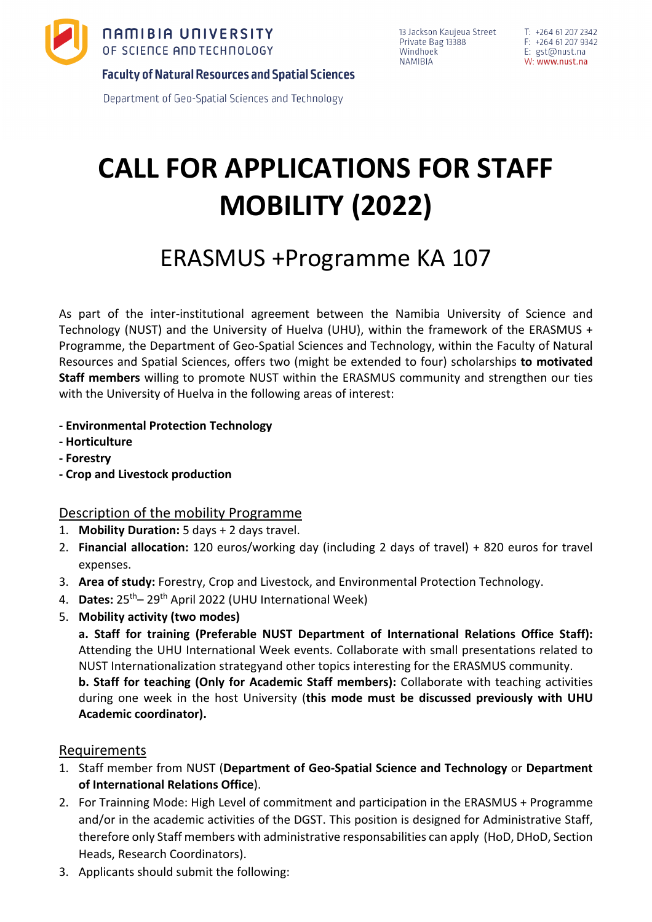

13 Jackson Kaujeua Street Private Bag 13388 Windhoek **NAMIBIA** 

**Faculty of Natural Resources and Spatial Sciences** 

Department of Geo-Spatial Sciences and Technology

# **CALL FOR APPLICATIONS FOR STAFF MOBILITY (2022)**

# ERASMUS +Programme KA 107

As part of the inter-institutional agreement between the Namibia University of Science and Technology (NUST) and the University of Huelva (UHU), within the framework of the ERASMUS + Programme, the Department of Geo-Spatial Sciences and Technology, within the Faculty of Natural Resources and Spatial Sciences, offers two (might be extended to four) scholarships **to motivated Staff members** willing to promote NUST within the ERASMUS community and strengthen our ties with the University of Huelva in the following areas of interest:

- **- Environmental Protection Technology**
- **- Horticulture**
- **- Forestry**
- **- Crop and Livestock production**

## Description of the mobility Programme

- 1. **Mobility Duration:** 5 days + 2 days travel.
- 2. **Financial allocation:** 120 euros/working day (including 2 days of travel) + 820 euros for travel expenses.
- 3. **Area of study:** Forestry, Crop and Livestock, and Environmental Protection Technology.
- 4. **Dates:** 25th– 29th April 2022 (UHU International Week)
- 5. **Mobility activity (two modes)**

**a. Staff for training (Preferable NUST Department of International Relations Office Staff):** Attending the UHU International Week events. Collaborate with small presentations related to NUST Internationalization strategyand other topics interesting for the ERASMUS community.

**b. Staff for teaching (Only for Academic Staff members):** Collaborate with teaching activities during one week in the host University (**this mode must be discussed previously with UHU Academic coordinator).**

## Requirements

- 1. Staff member from NUST (**Department of Geo-Spatial Science and Technology** or **Department of International Relations Office**).
- 2. For Trainning Mode: High Level of commitment and participation in the ERASMUS + Programme and/or in the academic activities of the DGST. This position is designed for Administrative Staff, therefore only Staff members with administrative responsabilities can apply (HoD, DHoD, Section Heads, Research Coordinators).
- 3. Applicants should submit the following: